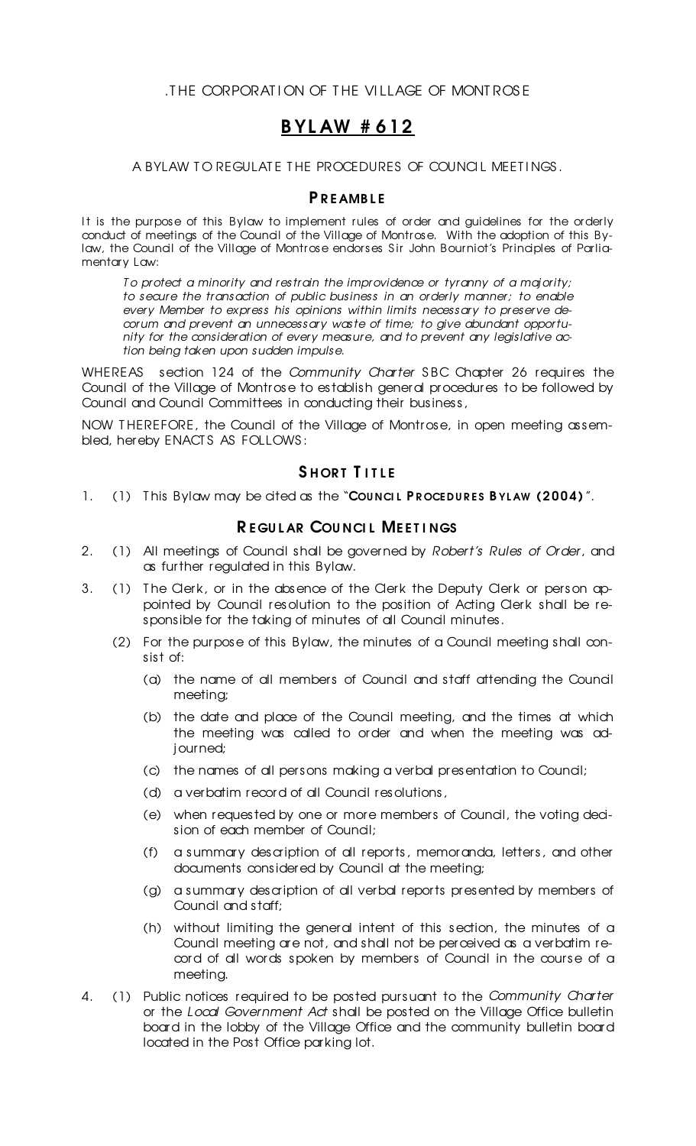.T HE CORPORAT I ON OF T HE VI LLAGE OF MONT ROS E

# B YL AW # 612

#### A BYLAW TO REGULATE THE PROCEDURES OF COUNCIL MEETINGS.

#### **P R E AMBLE**

It is the purpose of this Bylaw to implement rules of order and guidelines for the orderly conduct of meetings of the Council of the Village of Montrose. With the adoption of this Bylaw, the Council of the Village of Montrose endorses Sir John Bourniot's Principles of Parliamentary Law:

*T o protect a minority and restrain the improvidence or tyranny of a majority; to secure the transaction of public business in an orderly manner; to enable every Member to express his opinions within limits necessary to preserve decorum and prevent an unnecessary waste of time; to give abundant opportunity for the consideration of every measure, and to prevent any legislative action being taken upon sudden impulse.*

WHEREAS section 124 of the *Community Charter* SBC Chapter 26 requires the Council of the Village of Montrose to establish general procedures to be followed by Council and Council Committees in conducting their business,

NOW THEREFORE, the Council of the Village of Montrose, in open meeting assembled, hereby ENACT S AS FOLLOWS :

### SHORT TITLE

1. (1) This Bylaw may be cited as the "COUNCIL PROCEDURES BYLAW (2004)".

#### REGULAR COUNCIL MEETINGS

- 2. (1) All meetings of Council shall be governed by *Robert's Rules of Order*, and as further regulated in this Bylaw.
- 3. (1) The Clerk, or in the absence of the Clerk the Deputy Clerk or person appointed by Council resolution to the position of Acting Clerk shall be responsible for the taking of minutes of all Council minutes.
	- (2) For the purpose of this Bylaw, the minutes of a Council meeting shall consist of:
		- (a) the name of all members of Council and staff attending the Council meeting;
		- (b) the date and place of the Council meeting, and the times at which the meeting was called to order and when the meeting was adjourned;
		- (c) the names of all persons making a verbal presentation to Council;
		- (d) a verbatim record of all Council resolutions,
		- (e) when requested by one or more members of Council, the voting decision of each member of Council;
		- (f) a summary description of all reports, memoranda, letters, and other documents considered by Council at the meeting;
		- (g) a summary description of all verbal reports presented by members of Council and staff;
		- (h) without limiting the general intent of this section, the minutes of a Council meeting are not, and shall not be perceived as a verbatim record of all words spoken by members of Council in the course of a meeting.
- 4. (1) Public notices required to be posted pursuant to the *Community Charter* or the *Local Government Act* shall be posted on the Village Office bulletin board in the lobby of the Village Office and the community bulletin board located in the Post Office parking lot.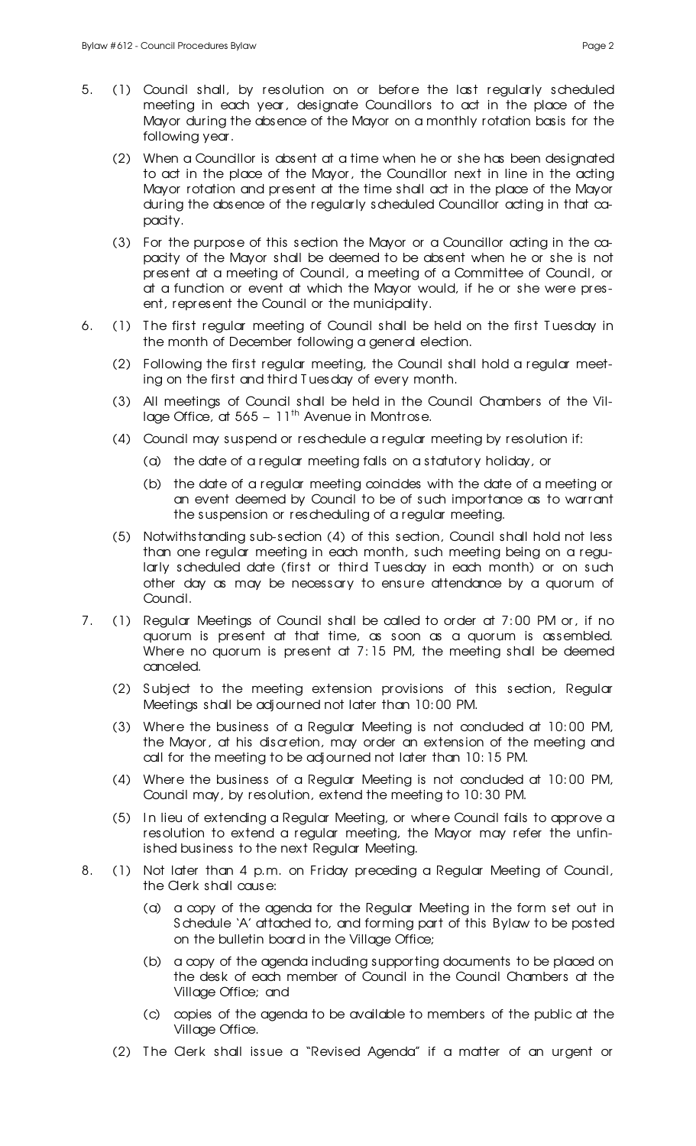- 5. (1) Council shall, by resolution on or before the last regularly scheduled meeting in each year, designate Councillors to act in the place of the Mayor during the absence of the Mayor on a monthly rotation basis for the following year.
	- (2) When a Councillor is absent at a time when he or she has been designated to act in the place of the Mayor, the Councillor next in line in the acting Mayor rotation and present at the time shall act in the place of the Mayor during the absence of the regularly scheduled Councillor acting in that capacity.
	- (3) For the purpose of this section the Mayor or a Councillor acting in the capacity of the Mayor shall be deemed to be absent when he or she is not present at a meeting of Council, a meeting of a Committee of Council, or at a function or event at which the Mayor would, if he or she were present, represent the Council or the municipality.
- 6. (1) T he first regular meeting of Council shall be held on the first T uesday in the month of December following a general election.
	- (2) Following the first regular meeting, the Council shall hold a regular meeting on the first and third T uesday of every month.
	- (3) All meetings of Council shall be held in the Council Chambers of the Village Office, at  $565 - 11^{\text{th}}$  Avenue in Montrose.
	- (4) Council may suspend or reschedule a regular meeting by resolution if:
		- (a) the date of a regular meeting falls on a statutory holiday, or
		- (b) the date of a regular meeting coincides with the date of a meeting or an event deemed by Council to be of such importance as to warrant the suspension or rescheduling of a regular meeting.
	- (5) Notwithstanding sub-section (4) of this section, Council shall hold not less than one regular meeting in each month, such meeting being on a regularly scheduled date (first or third T uesday in each month) or on such other day as may be necessary to ensure attendance by a quorum of Council.
- 7. (1) Regular Meetings of Council shall be called to order at 7: 00 PM or, if no quorum is present at that time, as soon as a quorum is assembled. Where no quorum is present at 7:15 PM, the meeting shall be deemed canceled.
	- (2) S ubject to the meeting extension provisions of this section, Regular Meetings shall be adjourned not later than 10: 00 PM.
	- (3) Where the business of a Regular Meeting is not conduded at 10:00 PM, the Mayor, at his discretion, may order an extension of the meeting and call for the meeting to be adjourned not later than 10: 15 PM.
	- (4) Where the business of a Regular Meeting is not conduded at 10:00 PM, Council may, by resolution, extend the meeting to 10: 30 PM.
	- (5) I n lieu of extending a Regular Meeting, or where Council fails to approve a resolution to extend a regular meeting, the Mayor may refer the unfinished business to the next Regular Meeting.
- 8. (1) Not later than 4 p.m. on Friday preceding a Regular Meeting of Council, the Clerk shall cause:
	- (a) a copy of the agenda for the Regular Meeting in the form set out in S chedule 'A' attached to, and forming part of this Bylaw to be posted on the bulletin board in the Village Office;
	- (b) a copy of the agenda including supporting documents to be placed on the desk of each member of Council in the Council Chambers at the Village Office; and
	- (c) copies of the agenda to be available to members of the public at the Village Office.
	- (2) T he Clerk shall issue a "Revised Agenda" if a matter of an urgent or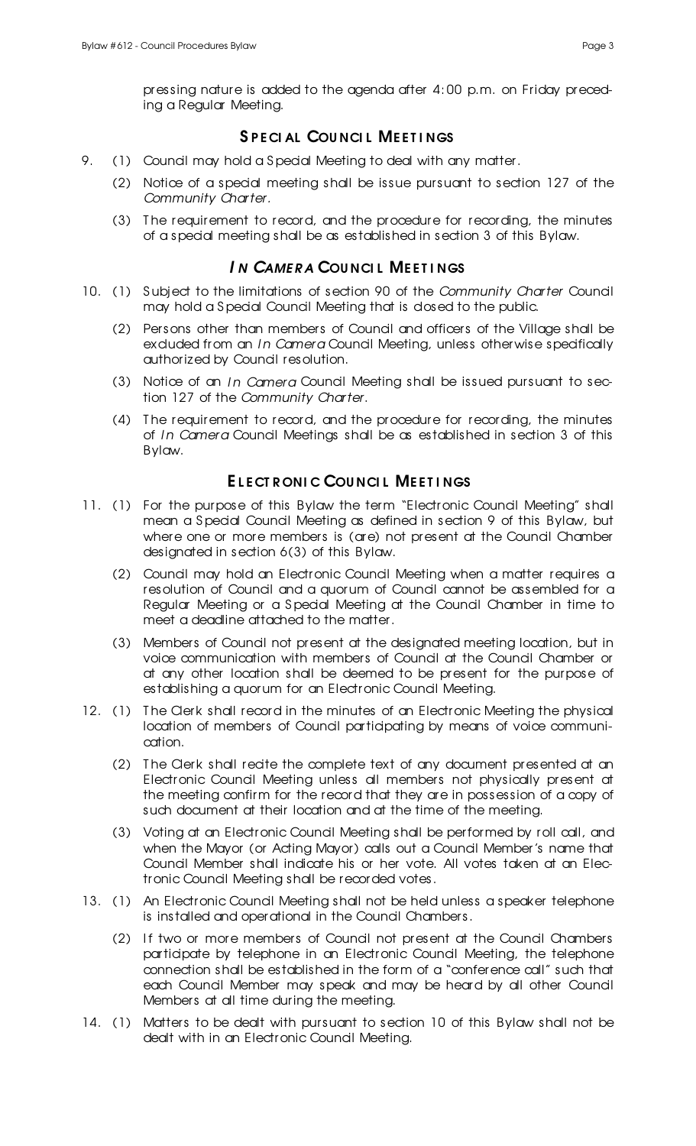pressing nature is added to the agenda after 4: 00 p.m. on Friday preceding a Regular Meeting.

# SPECIAL COUNCIL MEETINGS

- 9. (1) Council may hold a Special Meeting to deal with any matter.
	- (2) Notice of a special meeting shall be issue pursuant to section 127 of the *Community Charter.*
	- (3) T he requirement to record, and the procedure for recording, the minutes of a special meeting shall be as established in section 3 of this Bylaw.

# *I N CAME R A* COU NCI L ME E T I NGS

- 10. (1) S ubject to the limitations of section 90 of the *Community Charter* Council may hold a S pecial Council Meeting that is closed to the public.
	- (2) Persons other than members of Council and officers of the Village shall be excluded from an *In Camera* Council Meeting, unless otherwise specifically authorized by Council resolution.
	- (3) Notice of an *I n Camera* Council Meeting shall be issued pursuant to section 127 of the *Community Charter*.
	- (4) T he requirement to record, and the procedure for recording, the minutes of *I n Camera* Council Meetings shall be as established in section 3 of this Bylaw.

## ELECT RONIC COUNCIL MEETINGS

- 11. (1) For the purpose of this Bylaw the term "Electronic Council Meeting" shall mean a Special Council Meeting as defined in section 9 of this Bylaw, but where one or more members is (are) not present at the Council Chamber designated in section 6(3) of this Bylaw.
	- (2) Council may hold an Electronic Council Meeting when a matter requires a resolution of Council and a quorum of Council cannot be assembled for a Regular Meeting or a S pecial Meeting at the Council Chamber in time to meet a deadline attached to the matter.
	- (3) Members of Council not present at the designated meeting location, but in voice communication with members of Council at the Council Chamber or at any other location shall be deemed to be present for the purpose of establishing a quorum for an Electronic Council Meeting.
- 12. (1) The Clerk shall record in the minutes of an Electronic Meeting the physical location of members of Council participating by means of voice communication.
	- (2) T he Clerk shall recite the complete text of any document presented at an Electronic Council Meeting unless all members not physically present at the meeting confirm for the record that they are in possession of a copy of such document at their location and at the time of the meeting.
	- (3) Voting at an Electronic Council Meeting shall be performed by roll call, and when the Mayor (or Acting Mayor) calls out a Council Member's name that Council Member shall indicate his or her vote. All votes taken at an Electronic Council Meeting shall be recorded votes.
- 13. (1) An Electronic Council Meeting shall not be held unless a speaker telephone is installed and operational in the Council Chambers.
	- (2) If two or more members of Council not present at the Council Chambers participate by telephone in an Electronic Council Meeting, the telephone connection shall be established in the form of a "conference call" such that each Council Member may speak and may be heard by all other Council Members at all time during the meeting.
- 14. (1) Matters to be dealt with pursuant to section 10 of this Bylaw shall not be dealt with in an Electronic Council Meeting.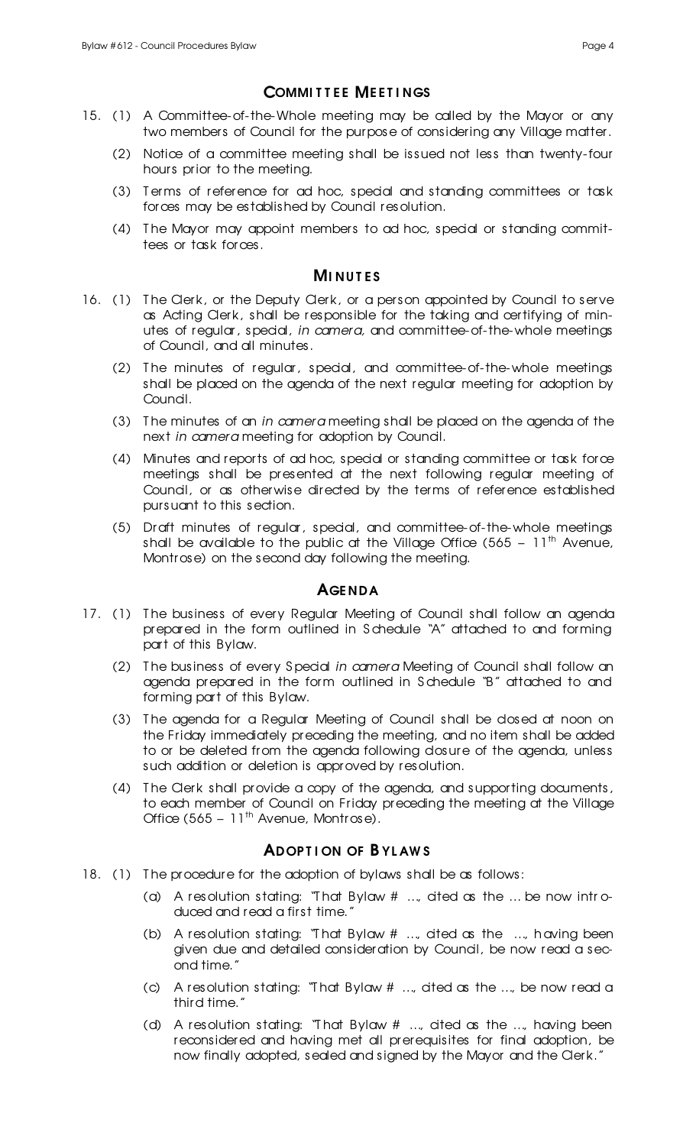# **COMMITTEE MEETINGS**

- 15. (1) A Committee-of-the-Whole meeting may be called by the Mayor or any two members of Council for the purpose of considering any Village matter.
	- (2) Notice of a committee meeting shall be issued not less than twenty-four hours prior to the meeting.
	- (3) Terms of reference for ad hoc, special and standing committees or task forces may be established by Council resolution.
	- (4) T he Mayor may appoint members to ad hoc, special or standing committees or task forces.

## **MINUTES**

- 16. (1) The Clerk, or the Deputy Clerk, or a person appointed by Council to serve as Acting Clerk, shall be responsible for the taking and certifying of minutes of regular, special, *in camera,* and committee-of-the-whole meetings of Council, and all minutes.
	- (2) T he minutes of regular, special, and committee-of-the-whole meetings shall be placed on the agenda of the next regular meeting for adoption by Council.
	- (3) T he minutes of an *in camera* meeting shall be placed on the agenda of the next *in camera* meeting for adoption by Council.
	- (4) Minutes and reports of ad hoc, special or standing committee or task force meetings shall be presented at the next following regular meeting of Council, or as otherwise directed by the terms of reference established pursuant to this section.
	- (5) Draft minutes of regular, special, and committee-of-the-whole meetings shall be available to the public at the Village Office (565 –  $11<sup>th</sup>$  Avenue, Montrose) on the second day following the meeting.

## **AGENDA**

- 17. (1) The business of every Regular Meeting of Council shall follow an agenda prepared in the form outlined in S chedule "A" attached to and forming part of this Bylaw.
	- (2) T he business of every S pecial *in camera* Meeting of Council shall follow an agenda prepared in the form outlined in S chedule "B" attached to and forming part of this Bylaw.
	- (3) The agenda for a Regular Meeting of Council shall be closed at noon on the Friday immediately preceding the meeting, and no item shall be added to or be deleted from the agenda following dosure of the agenda, unless such addition or deletion is approved by resolution.
	- (4) T he Clerk shall provide a copy of the agenda, and supporting documents, to each member of Council on Friday preceding the meeting at the Village Office (565 – 11<sup>th</sup> Avenue, Montrose).

## **ADOPTION OF BYLAWS**

- 18. (1) The procedure for the adoption of bylaws shall be as follows:
	- (a) A resolution stating: "That Bylaw  $\#$  ..., ated as the ... be now introduced and read a first time."
	- (b) A resolution stating: "T hat Bylaw # …, cited as the …, having been given due and detailed consideration by Council, be now read a second time."
	- (c) A resolution stating: "T hat Bylaw # …, cited as the …, be now read a third time."
	- (d) A resolution stating: "T hat Bylaw # …, cited as the …, having been reconsidered and having met all prerequisites for final adoption, be now finally adopted, sealed and signed by the Mayor and the Clerk."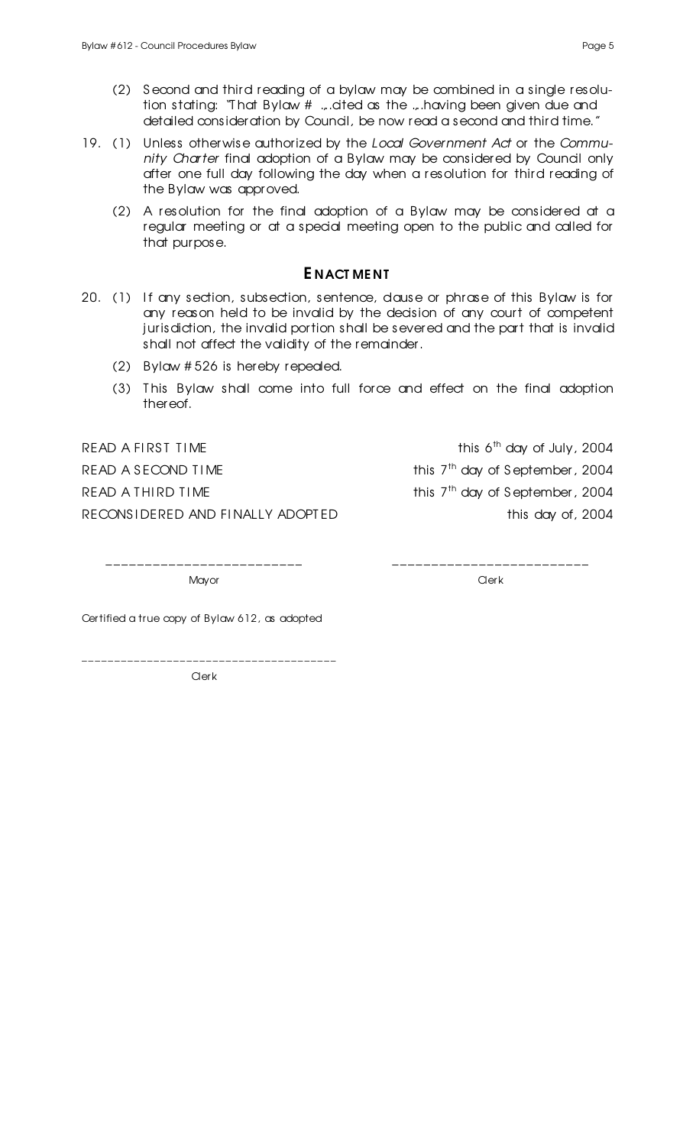- 19. (1) Unless otherwise authorized by the *Local Government Act* or the *Community Charter* final adoption of a Bylaw may be considered by Council only after one full day following the day when a resolution for third reading of the Bylaw was approved.
	- (2) A resolution for the final adoption of a Bylaw may be considered at a regular meeting or at a special meeting open to the public and called for that purpose.

#### E NACT ME NT

- 20. (1) If any section, subsection, sentence, dause or phrase of this Bylaw is for any reason held to be invalid by the decision of any court of competent jurisdiction, the invalid portion shall be severed and the part that is invalid shall not affect the validity of the remainder.
	- (2) Bylaw # 526 is hereby repealed.
	- (3) T his Bylaw shall come into full force and effect on the final adoption thereof.

READ A FIRST TIME

READ A SECOND TIME

READ A THIRD TIME

RECONSIDERED AND FINALLY ADOPTED this day of, 2004

this 6<sup>th</sup> day of July, 2004 this 7<sup>th</sup> day of September, 2004 this 7<sup>th</sup> day of September, 2004

\_\_\_\_\_\_\_\_\_\_\_\_\_\_\_\_\_\_\_\_\_\_\_\_\_ \_\_\_\_\_\_\_\_\_\_\_\_\_\_\_\_\_\_\_\_\_\_\_\_\_

Mayor Clerk Contract of the Mayor Clerk Clerk Clerk Clerk Clerk

Certified a true copy of Bylaw 612, as adopted

**Clerk** 

\_\_\_\_\_\_\_\_\_\_\_\_\_\_\_\_\_\_\_\_\_\_\_\_\_\_\_\_\_\_\_\_\_\_\_\_\_\_\_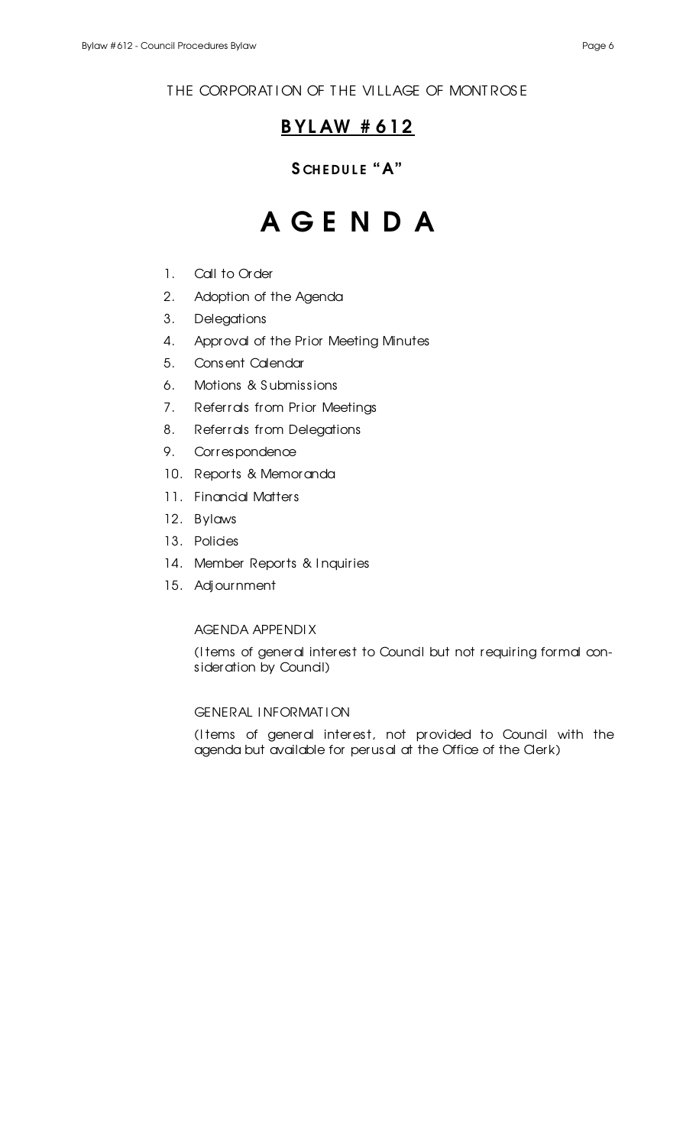# THE CORPORATION OF THE VILLAGE OF MONTROSE

# B YL AW # 612

# SCHEDULE "A"

# A G E N D A

- 1. Call to Order
- 2. Adoption of the Agenda
- 3. Delegations
- 4. Approval of the Prior Meeting Minutes
- 5. Consent Calendar
- 6. Motions & S ubmissions
- 7. Referrals from Prior Meetings
- 8. Referrals from Delegations
- 9. Correspondence
- 10. Reports & Memoranda
- 11. Financial Matters
- 12. Bylaws
- 13. Policies
- 14. Member Reports & I nquiries
- 15. Adjournment

#### AGENDA APPENDI X

(I tems of general interest to Council but not requiring formal consideration by Council)

#### GENERAL I NFORMAT I ON

(Items of general interest, not provided to Council with the agenda but available for perusal at the Office of the Clerk)